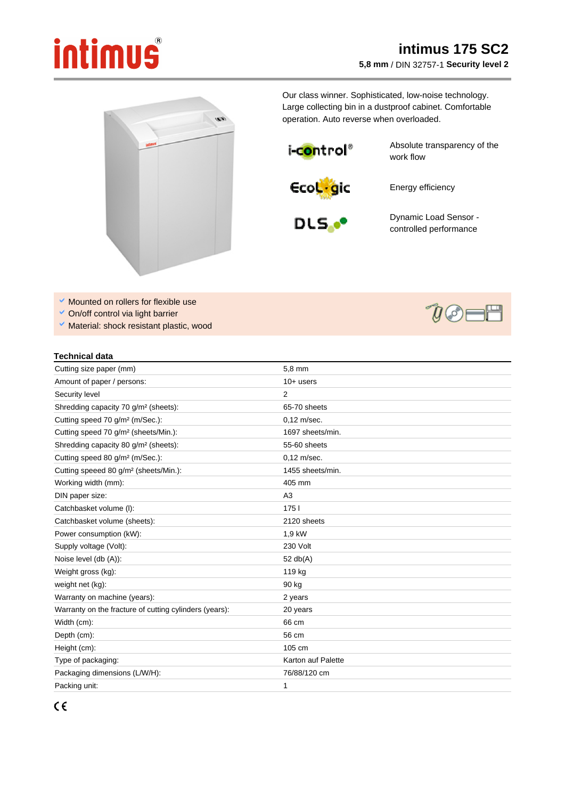## intimus

## **intimus 175 SC2 5,8 mm** / DIN 32757-1 **Security level 2**



Our class winner. Sophisticated, low-noise technology. Large collecting bin in a dustproof cabinet. Comfortable operation. Auto reverse when overloaded.

i-c<mark>o</mark>ntrol®

Absolute transparency of the work flow

**EcoL**gic

Energy efficiency



Dynamic Load Sensor controlled performance

- $\blacktriangleright$  Mounted on rollers for flexible use
- On/off control via light barrier
- $\vee$  Material: shock resistant plastic, wood

## **Technical data**

| Cutting size paper (mm)                                | 5,8 mm             |
|--------------------------------------------------------|--------------------|
| Amount of paper / persons:                             | $10+$ users        |
| Security level                                         | 2                  |
| Shredding capacity 70 g/m <sup>2</sup> (sheets):       | 65-70 sheets       |
| Cutting speed 70 g/m <sup>2</sup> (m/Sec.):            | $0.12$ m/sec.      |
| Cutting speed 70 g/m <sup>2</sup> (sheets/Min.):       | 1697 sheets/min.   |
| Shredding capacity 80 g/m <sup>2</sup> (sheets):       | 55-60 sheets       |
| Cutting speed 80 g/m <sup>2</sup> (m/Sec.):            | $0.12$ m/sec.      |
| Cutting speeed 80 g/m <sup>2</sup> (sheets/Min.):      | 1455 sheets/min.   |
| Working width (mm):                                    | 405 mm             |
| DIN paper size:                                        | A3                 |
| Catchbasket volume (I):                                | 1751               |
| Catchbasket volume (sheets):                           | 2120 sheets        |
| Power consumption (kW):                                | 1,9 kW             |
| Supply voltage (Volt):                                 | 230 Volt           |
| Noise level (db (A)):                                  | 52 $db(A)$         |
| Weight gross (kg):                                     | 119 kg             |
| weight net (kg):                                       | 90 kg              |
| Warranty on machine (years):                           | 2 years            |
| Warranty on the fracture of cutting cylinders (years): | 20 years           |
| Width (cm):                                            | 66 cm              |
| Depth (cm):                                            | 56 cm              |
| Height (cm):                                           | 105 cm             |
| Type of packaging:                                     | Karton auf Palette |
| Packaging dimensions (L/W/H):                          | 76/88/120 cm       |
| Packing unit:                                          | 1                  |



 $\partial\mathcal{Y}=\mathcal{Y}$